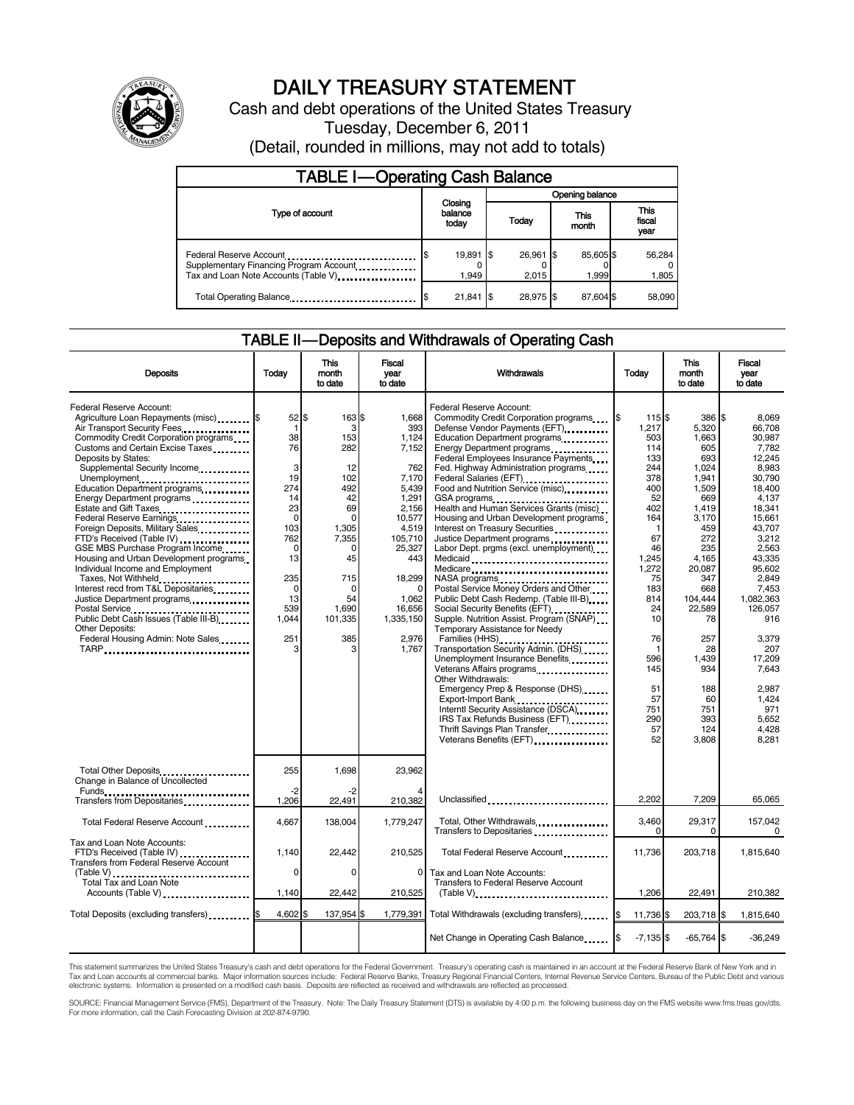

# DAILY TREASURY STATEMENT

Cash and debt operations of the United States Treasury Tuesday, December 6, 2011

| <b>TABLE I-Operating Cash Balance</b>                                                                      |                  |                    |                                     |                 |                        |                    |  |                 |
|------------------------------------------------------------------------------------------------------------|------------------|--------------------|-------------------------------------|-----------------|------------------------|--------------------|--|-----------------|
|                                                                                                            |                  | Closing            |                                     | Opening balance |                        |                    |  |                 |
| Type of account                                                                                            | balance<br>today |                    | This<br>Today<br>month<br>26.961 \$ |                 | This<br>fiscal<br>year |                    |  |                 |
| Federal Reserve Account<br>Supplementary Financing Program Account<br>Tax and Loan Note Accounts (Table V) |                  | 19,891 \$<br>1.949 |                                     | 2.015           |                        | 85.605 \$<br>1.999 |  | 56,284<br>1,805 |
| Total Operating Balance                                                                                    |                  | 21,841             | I\$                                 | 28.975 \$       |                        | 87.604 \$          |  | 58,090          |

#### TABLE II — Deposits and Withdrawals of Operating Cash

| <b>Deposits</b>                                                                                                                                                                                                                                                                                                                                                                                                                                                                                                                                                                                                                                                                                                                                                                            | Todav                                                                                                                                                                              | <b>This</b><br>month<br>to date                                                                                                                             | <b>Fiscal</b><br>vear<br>to date                                                                                                                                                                 | Withdrawals                                                                                                                                                                                                                                                                                                                                                                                                                                                                                                                                                                                                                                                                                                                                                                                                                                                                                                                                                                                                                                                                                                                                                                                                                                                                                                                   | Today                                                                                                                                                                                                                     | <b>This</b><br>month<br>to date                                                                                                                                                                                                                     | <b>Fiscal</b><br>vear<br>to date                                                                                                                                                                                                                                                               |
|--------------------------------------------------------------------------------------------------------------------------------------------------------------------------------------------------------------------------------------------------------------------------------------------------------------------------------------------------------------------------------------------------------------------------------------------------------------------------------------------------------------------------------------------------------------------------------------------------------------------------------------------------------------------------------------------------------------------------------------------------------------------------------------------|------------------------------------------------------------------------------------------------------------------------------------------------------------------------------------|-------------------------------------------------------------------------------------------------------------------------------------------------------------|--------------------------------------------------------------------------------------------------------------------------------------------------------------------------------------------------|-------------------------------------------------------------------------------------------------------------------------------------------------------------------------------------------------------------------------------------------------------------------------------------------------------------------------------------------------------------------------------------------------------------------------------------------------------------------------------------------------------------------------------------------------------------------------------------------------------------------------------------------------------------------------------------------------------------------------------------------------------------------------------------------------------------------------------------------------------------------------------------------------------------------------------------------------------------------------------------------------------------------------------------------------------------------------------------------------------------------------------------------------------------------------------------------------------------------------------------------------------------------------------------------------------------------------------|---------------------------------------------------------------------------------------------------------------------------------------------------------------------------------------------------------------------------|-----------------------------------------------------------------------------------------------------------------------------------------------------------------------------------------------------------------------------------------------------|------------------------------------------------------------------------------------------------------------------------------------------------------------------------------------------------------------------------------------------------------------------------------------------------|
| Federal Reserve Account:<br>Agriculture Loan Repayments (misc) [\$<br>Air Transport Security Fees<br>Commodity Credit Corporation programs<br>Customs and Certain Excise Taxes<br>Deposits by States:<br>Supplemental Security Income<br>Unemployment<br>Education Department programs<br>Energy Department programs<br>Estate and Gift Taxes<br>Federal Reserve Earnings<br>Foreign Deposits, Military Sales<br>FTD's Received (Table IV)<br>GSE MBS Purchase Program Income<br>Housing and Urban Development programs<br>Individual Income and Employment<br>Taxes, Not Withheld<br>Interest recd from T&L Depositaries<br>Justice Department programs<br>Postal Service<br>Public Debt Cash Issues (Table III-B)<br><b>Other Deposits:</b><br>Federal Housing Admin: Note Sales<br>TARP | $52$ $\frac{1}{3}$<br>$\mathbf 1$<br>38<br>76<br>3<br>19<br>274<br>14<br>23<br>$\mathbf 0$<br>103<br>762<br>$\Omega$<br>13<br>235<br>$\mathbf 0$<br>13<br>539<br>1.044<br>251<br>3 | 163 \$<br>3<br>153<br>282<br>12<br>102<br>492<br>42<br>69<br>$\Omega$<br>1,305<br>7,355<br>$\Omega$<br>45<br>715<br>0<br>54<br>1.690<br>101,335<br>385<br>3 | 1,668<br>393<br>1,124<br>7,152<br>762<br>7,170<br>5,439<br>1,291<br>2.156<br>10,577<br>4,519<br>105,710<br>25,327<br>443<br>18,299<br>$\Omega$<br>1,062<br>16.656<br>1.335.150<br>2,976<br>1.767 | Federal Reserve Account:<br>Commodity Credit Corporation programs<br>Defense Vendor Payments (EFT)<br>Education Department programs<br>Energy Department programs<br>Federal Employees Insurance Payments<br>Fed. Highway Administration programs<br>Federal Salaries (EFT)<br>1991 - Production Contract Contract Contract Contract Contract Contract Contract Contract Contract Contract Contract Contract Contract Contract Contract Contract Contract Contract Contract Contract<br>Food and Nutrition Service (misc)<br>GSA programs<br>Health and Human Services Grants (misc)<br>Housing and Urban Development programs<br>Interest on Treasury Securities<br>Justice Department programs<br>Labor Dept. prgms (excl. unemployment)<br>Medicaid<br>Medicare<br>NASA programs<br>Postal Service Money Orders and Other<br>Public Debt Cash Redemp. (Table III-B)<br>Supple. Nutrition Assist. Program (SNAP)<br>Temporary Assistance for Needy<br>Families (HHS)<br>Families (HHS)<br>Transportation Security Admin. (DHS)<br>Unemployment Insurance Benefits<br>Veterans Affairs programs<br>Other Withdrawals:<br>Emergency Prep & Response (DHS)<br>Export-Import Bank<br><br>Interntl Security Assistance (DSCA)<br>IRS Tax Refunds Business (EFT) [100]<br>Thrift Savings Plan Transfer<br>Veterans Benefits (EFT) | 115\$<br>1,217<br>503<br>114<br>133<br>244<br>378<br>400<br>52<br>402<br>164<br>$\mathbf 1$<br>67<br>46<br>1,245<br>1,272<br>75<br>183<br>814<br>24<br>10<br>76<br>-1<br>596<br>145<br>51<br>57<br>751<br>290<br>57<br>52 | 386 \$<br>5,320<br>1,663<br>605<br>693<br>1,024<br>1,941<br>1,509<br>669<br>1,419<br>3,170<br>459<br>272<br>235<br>4,165<br>20,087<br>347<br>668<br>104,444<br>22,589<br>78<br>257<br>28<br>1.439<br>934<br>188<br>60<br>751<br>393<br>124<br>3,808 | 8.069<br>66.708<br>30.987<br>7,782<br>12.245<br>8.983<br>30.790<br>18.400<br>4.137<br>18.341<br>15.661<br>43.707<br>3,212<br>2.563<br>43.335<br>95.602<br>2.849<br>7.453<br>1,082,363<br>126.057<br>916<br>3,379<br>207<br>17.209<br>7.643<br>2.987<br>1.424<br>971<br>5.652<br>4.428<br>8,281 |
| Total Other Deposits<br>Change in Balance of Uncollected                                                                                                                                                                                                                                                                                                                                                                                                                                                                                                                                                                                                                                                                                                                                   | 255<br>$-2$                                                                                                                                                                        | 1,698                                                                                                                                                       | 23,962                                                                                                                                                                                           |                                                                                                                                                                                                                                                                                                                                                                                                                                                                                                                                                                                                                                                                                                                                                                                                                                                                                                                                                                                                                                                                                                                                                                                                                                                                                                                               |                                                                                                                                                                                                                           |                                                                                                                                                                                                                                                     |                                                                                                                                                                                                                                                                                                |
| Transfers from Depositaries                                                                                                                                                                                                                                                                                                                                                                                                                                                                                                                                                                                                                                                                                                                                                                | 1,206                                                                                                                                                                              | 22,491                                                                                                                                                      | 210,382                                                                                                                                                                                          | Unclassified                                                                                                                                                                                                                                                                                                                                                                                                                                                                                                                                                                                                                                                                                                                                                                                                                                                                                                                                                                                                                                                                                                                                                                                                                                                                                                                  | 2,202                                                                                                                                                                                                                     | 7,209                                                                                                                                                                                                                                               | 65,065                                                                                                                                                                                                                                                                                         |
| Total Federal Reserve Account                                                                                                                                                                                                                                                                                                                                                                                                                                                                                                                                                                                                                                                                                                                                                              | 4.667                                                                                                                                                                              | 138.004                                                                                                                                                     | 1.779.247                                                                                                                                                                                        | Total, Other Withdrawals                                                                                                                                                                                                                                                                                                                                                                                                                                                                                                                                                                                                                                                                                                                                                                                                                                                                                                                                                                                                                                                                                                                                                                                                                                                                                                      | 3,460<br>0                                                                                                                                                                                                                | 29,317<br>0                                                                                                                                                                                                                                         | 157,042<br>0                                                                                                                                                                                                                                                                                   |
| Tax and Loan Note Accounts:<br>FTD's Received (Table IV)<br><b>Transfers from Federal Reserve Account</b>                                                                                                                                                                                                                                                                                                                                                                                                                                                                                                                                                                                                                                                                                  | 1.140                                                                                                                                                                              | 22,442                                                                                                                                                      | 210,525                                                                                                                                                                                          | Total Federal Reserve Account                                                                                                                                                                                                                                                                                                                                                                                                                                                                                                                                                                                                                                                                                                                                                                                                                                                                                                                                                                                                                                                                                                                                                                                                                                                                                                 | 11.736                                                                                                                                                                                                                    | 203.718                                                                                                                                                                                                                                             | 1.815.640                                                                                                                                                                                                                                                                                      |
| (Table V)<br>Total Tax and Loan Note<br>Accounts (Table V)                                                                                                                                                                                                                                                                                                                                                                                                                                                                                                                                                                                                                                                                                                                                 | $\Omega$<br>1,140                                                                                                                                                                  | $\Omega$<br>22,442                                                                                                                                          | $\Omega$<br>210,525                                                                                                                                                                              | Tax and Loan Note Accounts:<br>Transfers to Federal Reserve Account                                                                                                                                                                                                                                                                                                                                                                                                                                                                                                                                                                                                                                                                                                                                                                                                                                                                                                                                                                                                                                                                                                                                                                                                                                                           | 1,206                                                                                                                                                                                                                     | 22,491                                                                                                                                                                                                                                              | 210,382                                                                                                                                                                                                                                                                                        |
| Total Deposits (excluding transfers) <b>S</b>                                                                                                                                                                                                                                                                                                                                                                                                                                                                                                                                                                                                                                                                                                                                              | 4,602 \$                                                                                                                                                                           | 137,954 \$                                                                                                                                                  | 1,779,391                                                                                                                                                                                        | Total Withdrawals (excluding transfers)                                                                                                                                                                                                                                                                                                                                                                                                                                                                                                                                                                                                                                                                                                                                                                                                                                                                                                                                                                                                                                                                                                                                                                                                                                                                                       | 11,736 \$                                                                                                                                                                                                                 | 203,718 \$                                                                                                                                                                                                                                          | 1,815,640                                                                                                                                                                                                                                                                                      |
|                                                                                                                                                                                                                                                                                                                                                                                                                                                                                                                                                                                                                                                                                                                                                                                            |                                                                                                                                                                                    |                                                                                                                                                             |                                                                                                                                                                                                  | Net Change in Operating Cash Balance                                                                                                                                                                                                                                                                                                                                                                                                                                                                                                                                                                                                                                                                                                                                                                                                                                                                                                                                                                                                                                                                                                                                                                                                                                                                                          | $-7,135$ \$                                                                                                                                                                                                               | $-65,764$ \$                                                                                                                                                                                                                                        | $-36,249$                                                                                                                                                                                                                                                                                      |

This statement summarizes the United States Treasury's cash and debt operations for the Federal Government. Treasury's operating cash is maintained in an account at the Federal Reserve Bank of New York and in<br>Tax and Loan

SOURCE: Financial Management Service (FMS), Department of the Treasury. Note: The Daily Treasury Statement (DTS) is available by 4:00 p.m. the following business day on the FMS website www.fms.treas.gov/dts.<br>For more infor